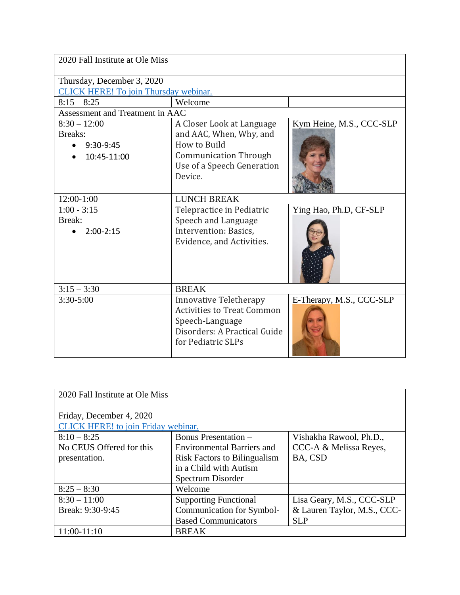| 2020 Fall Institute at Ole Miss       |                                   |                          |  |  |
|---------------------------------------|-----------------------------------|--------------------------|--|--|
| Thursday, December 3, 2020            |                                   |                          |  |  |
| CLICK HERE! To join Thursday webinar. |                                   |                          |  |  |
| $8:15 - 8:25$                         | Welcome                           |                          |  |  |
| Assessment and Treatment in AAC       |                                   |                          |  |  |
| $8:30 - 12:00$                        | A Closer Look at Language         | Kym Heine, M.S., CCC-SLP |  |  |
| Breaks:                               | and AAC, When, Why, and           |                          |  |  |
| 9:30-9:45                             | How to Build                      |                          |  |  |
| 10:45-11:00                           | <b>Communication Through</b>      |                          |  |  |
|                                       | Use of a Speech Generation        |                          |  |  |
|                                       | Device.                           |                          |  |  |
| $12:00-1:00$                          | <b>LUNCH BREAK</b>                |                          |  |  |
| $1:00 - 3:15$                         | Telepractice in Pediatric         | Ying Hao, Ph.D, CF-SLP   |  |  |
| Break:                                | Speech and Language               |                          |  |  |
| $2:00-2:15$                           | Intervention: Basics,             |                          |  |  |
|                                       | Evidence, and Activities.         |                          |  |  |
|                                       |                                   |                          |  |  |
|                                       |                                   |                          |  |  |
|                                       |                                   |                          |  |  |
| $3:15 - 3:30$                         | <b>BREAK</b>                      |                          |  |  |
| $3:30 - 5:00$                         | <b>Innovative Teletherapy</b>     | E-Therapy, M.S., CCC-SLP |  |  |
|                                       | <b>Activities to Treat Common</b> |                          |  |  |
|                                       | Speech-Language                   |                          |  |  |
|                                       | Disorders: A Practical Guide      |                          |  |  |
|                                       | for Pediatric SLPs                |                          |  |  |
|                                       |                                   |                          |  |  |

| 2020 Fall Institute at Ole Miss     |                                     |                             |  |
|-------------------------------------|-------------------------------------|-----------------------------|--|
| Friday, December 4, 2020            |                                     |                             |  |
| CLICK HERE! to join Friday webinar. |                                     |                             |  |
| $8:10 - 8:25$                       | Bonus Presentation -                | Vishakha Rawool, Ph.D.,     |  |
| No CEUS Offered for this            | <b>Environmental Barriers and</b>   | CCC-A & Melissa Reyes,      |  |
| presentation.                       | <b>Risk Factors to Bilingualism</b> | BA, CSD                     |  |
|                                     | in a Child with Autism              |                             |  |
|                                     | Spectrum Disorder                   |                             |  |
| $8:25 - 8:30$                       | Welcome                             |                             |  |
| $8:30 - 11:00$                      | <b>Supporting Functional</b>        | Lisa Geary, M.S., CCC-SLP   |  |
| Break: 9:30-9:45                    | Communication for Symbol-           | & Lauren Taylor, M.S., CCC- |  |
|                                     | <b>Based Communicators</b>          | <b>SLP</b>                  |  |
| 11:00-11:10                         | <b>BREAK</b>                        |                             |  |